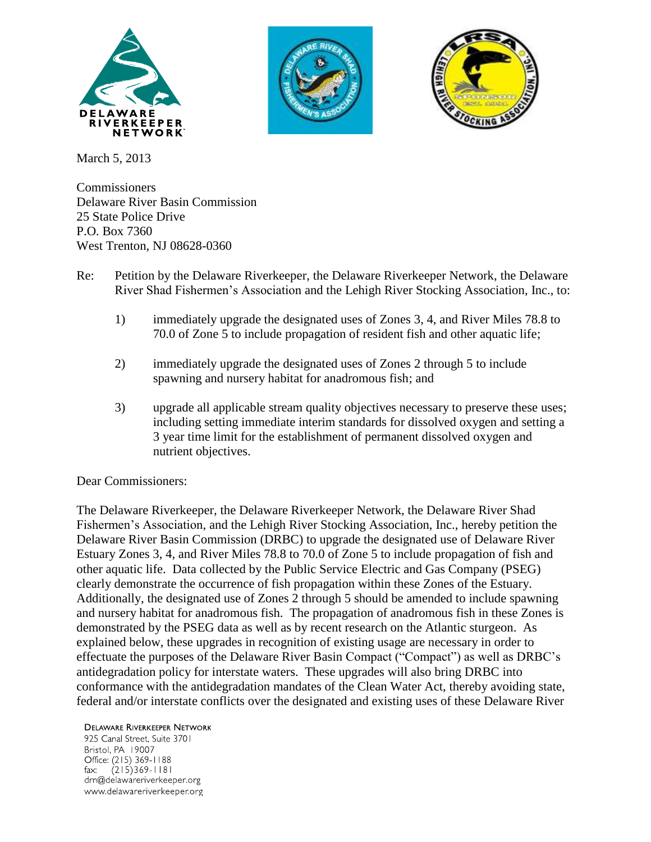



March 5, 2013

Commissioners Delaware River Basin Commission 25 State Police Drive P.O. Box 7360 West Trenton, NJ 08628-0360

- Re: Petition by the Delaware Riverkeeper, the Delaware Riverkeeper Network, the Delaware River Shad Fishermen's Association and the Lehigh River Stocking Association, Inc., to:
	- 1) immediately upgrade the designated uses of Zones 3, 4, and River Miles 78.8 to 70.0 of Zone 5 to include propagation of resident fish and other aquatic life;
	- 2) immediately upgrade the designated uses of Zones 2 through 5 to include spawning and nursery habitat for anadromous fish; and
	- 3) upgrade all applicable stream quality objectives necessary to preserve these uses; including setting immediate interim standards for dissolved oxygen and setting a 3 year time limit for the establishment of permanent dissolved oxygen and nutrient objectives.

Dear Commissioners:

The Delaware Riverkeeper, the Delaware Riverkeeper Network, the Delaware River Shad Fishermen's Association, and the Lehigh River Stocking Association, Inc., hereby petition the Delaware River Basin Commission (DRBC) to upgrade the designated use of Delaware River Estuary Zones 3, 4, and River Miles 78.8 to 70.0 of Zone 5 to include propagation of fish and other aquatic life. Data collected by the Public Service Electric and Gas Company (PSEG) clearly demonstrate the occurrence of fish propagation within these Zones of the Estuary. Additionally, the designated use of Zones 2 through 5 should be amended to include spawning and nursery habitat for anadromous fish. The propagation of anadromous fish in these Zones is demonstrated by the PSEG data as well as by recent research on the Atlantic sturgeon. As explained below, these upgrades in recognition of existing usage are necessary in order to effectuate the purposes of the Delaware River Basin Compact ("Compact") as well as DRBC's antidegradation policy for interstate waters. These upgrades will also bring DRBC into conformance with the antidegradation mandates of the Clean Water Act, thereby avoiding state, federal and/or interstate conflicts over the designated and existing uses of these Delaware River

**DELAWARE RIVERKEEPER NETWORK** 925 Canal Street, Suite 3701 Bristol, PA 19007 Office: (215) 369-1188 fax:  $(215)369 - 1181$ drn@delawareriverkeeper.org www.delawareriverkeeper.org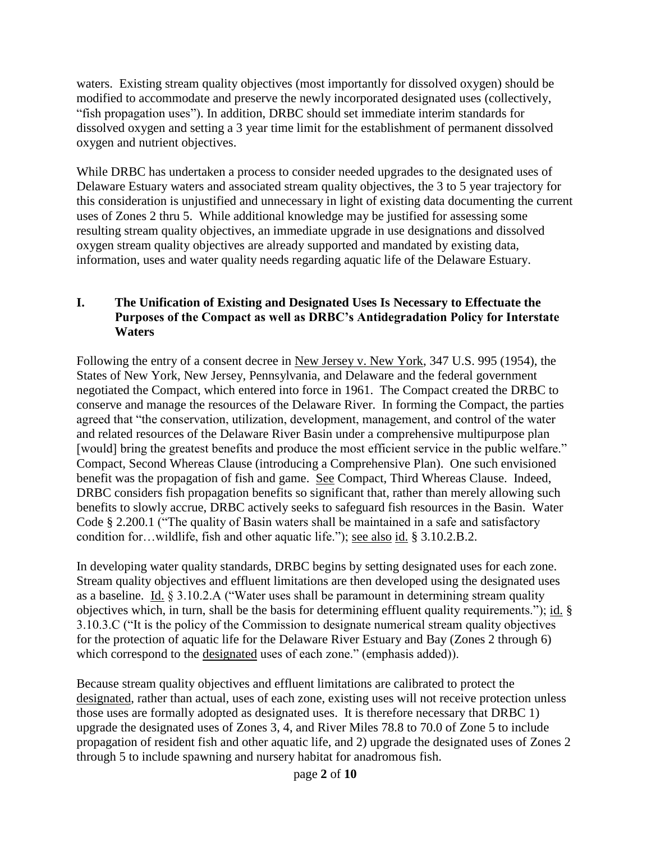waters. Existing stream quality objectives (most importantly for dissolved oxygen) should be modified to accommodate and preserve the newly incorporated designated uses (collectively, "fish propagation uses"). In addition, DRBC should set immediate interim standards for dissolved oxygen and setting a 3 year time limit for the establishment of permanent dissolved oxygen and nutrient objectives.

While DRBC has undertaken a process to consider needed upgrades to the designated uses of Delaware Estuary waters and associated stream quality objectives, the 3 to 5 year trajectory for this consideration is unjustified and unnecessary in light of existing data documenting the current uses of Zones 2 thru 5. While additional knowledge may be justified for assessing some resulting stream quality objectives, an immediate upgrade in use designations and dissolved oxygen stream quality objectives are already supported and mandated by existing data, information, uses and water quality needs regarding aquatic life of the Delaware Estuary.

### **I. The Unification of Existing and Designated Uses Is Necessary to Effectuate the Purposes of the Compact as well as DRBC's Antidegradation Policy for Interstate Waters**

Following the entry of a consent decree in New Jersey v. New York, 347 U.S. 995 (1954), the States of New York, New Jersey, Pennsylvania, and Delaware and the federal government negotiated the Compact, which entered into force in 1961. The Compact created the DRBC to conserve and manage the resources of the Delaware River. In forming the Compact, the parties agreed that "the conservation, utilization, development, management, and control of the water and related resources of the Delaware River Basin under a comprehensive multipurpose plan [would] bring the greatest benefits and produce the most efficient service in the public welfare." Compact, Second Whereas Clause (introducing a Comprehensive Plan). One such envisioned benefit was the propagation of fish and game. See Compact, Third Whereas Clause. Indeed, DRBC considers fish propagation benefits so significant that, rather than merely allowing such benefits to slowly accrue, DRBC actively seeks to safeguard fish resources in the Basin. Water Code § 2.200.1 ("The quality of Basin waters shall be maintained in a safe and satisfactory condition for…wildlife, fish and other aquatic life."); see also id. § 3.10.2.B.2.

In developing water quality standards, DRBC begins by setting designated uses for each zone. Stream quality objectives and effluent limitations are then developed using the designated uses as a baseline. Id. § 3.10.2.A ("Water uses shall be paramount in determining stream quality objectives which, in turn, shall be the basis for determining effluent quality requirements."); id. § 3.10.3.C ("It is the policy of the Commission to designate numerical stream quality objectives for the protection of aquatic life for the Delaware River Estuary and Bay (Zones 2 through 6) which correspond to the designated uses of each zone." (emphasis added)).

Because stream quality objectives and effluent limitations are calibrated to protect the designated, rather than actual, uses of each zone, existing uses will not receive protection unless those uses are formally adopted as designated uses. It is therefore necessary that DRBC 1) upgrade the designated uses of Zones 3, 4, and River Miles 78.8 to 70.0 of Zone 5 to include propagation of resident fish and other aquatic life, and 2) upgrade the designated uses of Zones 2 through 5 to include spawning and nursery habitat for anadromous fish.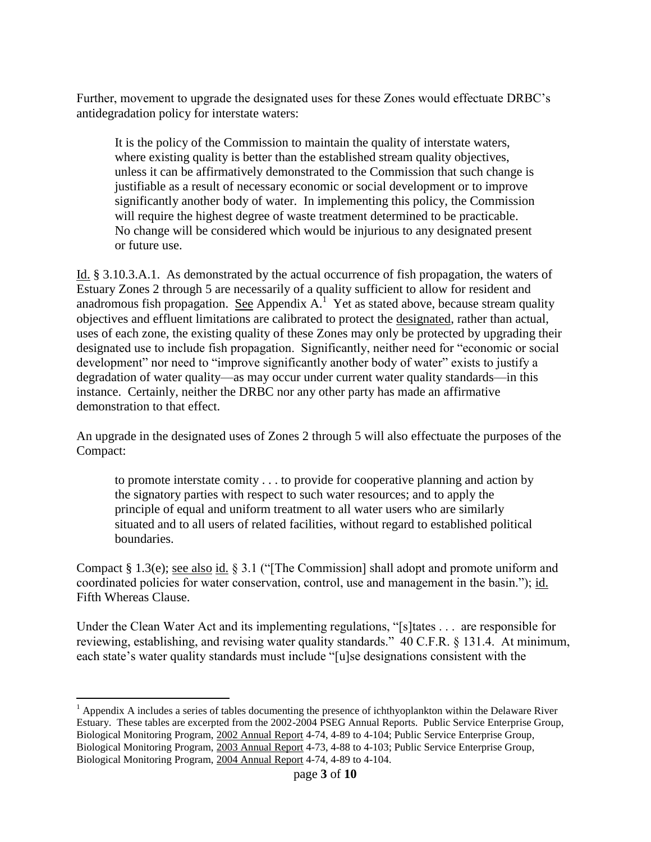Further, movement to upgrade the designated uses for these Zones would effectuate DRBC's antidegradation policy for interstate waters:

It is the policy of the Commission to maintain the quality of interstate waters, where existing quality is better than the established stream quality objectives, unless it can be affirmatively demonstrated to the Commission that such change is justifiable as a result of necessary economic or social development or to improve significantly another body of water. In implementing this policy, the Commission will require the highest degree of waste treatment determined to be practicable. No change will be considered which would be injurious to any designated present or future use.

Id. § 3.10.3.A.1. As demonstrated by the actual occurrence of fish propagation, the waters of Estuary Zones 2 through 5 are necessarily of a quality sufficient to allow for resident and anadromous fish propagation. See Appendix  $A<sup>1</sup>$  Yet as stated above, because stream quality objectives and effluent limitations are calibrated to protect the designated, rather than actual, uses of each zone, the existing quality of these Zones may only be protected by upgrading their designated use to include fish propagation. Significantly, neither need for "economic or social development" nor need to "improve significantly another body of water" exists to justify a degradation of water quality—as may occur under current water quality standards—in this instance. Certainly, neither the DRBC nor any other party has made an affirmative demonstration to that effect.

An upgrade in the designated uses of Zones 2 through 5 will also effectuate the purposes of the Compact:

to promote interstate comity . . . to provide for cooperative planning and action by the signatory parties with respect to such water resources; and to apply the principle of equal and uniform treatment to all water users who are similarly situated and to all users of related facilities, without regard to established political boundaries.

Compact § 1.3(e); see also id. § 3.1 ("[The Commission] shall adopt and promote uniform and coordinated policies for water conservation, control, use and management in the basin."); id. Fifth Whereas Clause.

Under the Clean Water Act and its implementing regulations, "[s]tates . . . are responsible for reviewing, establishing, and revising water quality standards." 40 C.F.R. § 131.4. At minimum, each state's water quality standards must include "[u]se designations consistent with the

 $\overline{a}$  $<sup>1</sup>$  Appendix A includes a series of tables documenting the presence of ichthyoplankton within the Delaware River</sup> Estuary. These tables are excerpted from the 2002-2004 PSEG Annual Reports. Public Service Enterprise Group, Biological Monitoring Program, 2002 Annual Report 4-74, 4-89 to 4-104; Public Service Enterprise Group, Biological Monitoring Program, 2003 Annual Report 4-73, 4-88 to 4-103; Public Service Enterprise Group, Biological Monitoring Program, 2004 Annual Report 4-74, 4-89 to 4-104.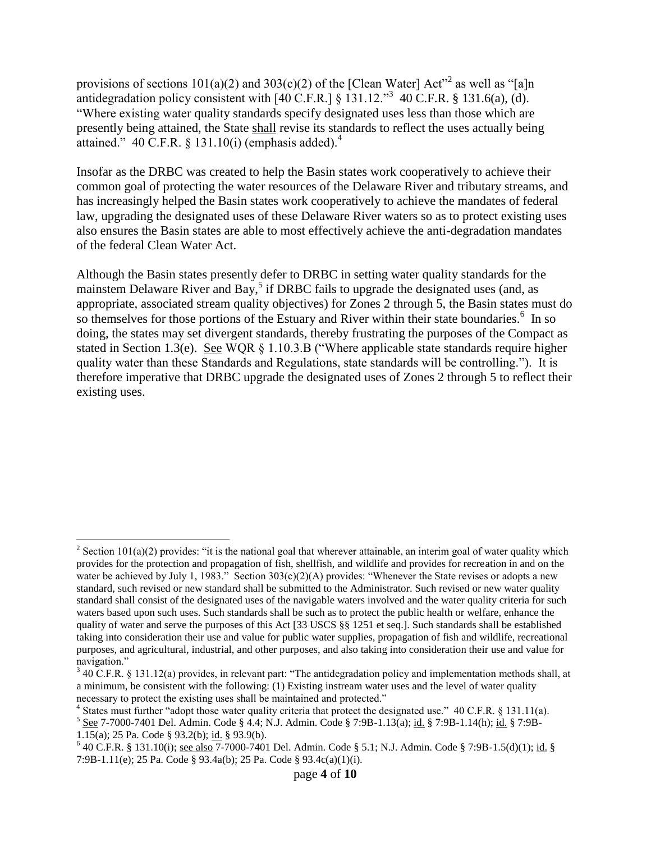provisions of sections  $101(a)(2)$  and  $303(c)(2)$  of the [Clean Water] Act<sup>22</sup> as well as "[a]n antidegradation policy consistent with  $[40 \text{ C.F.R.}]$  § 131.12."<sup>3</sup> 40 C.F.R. § 131.6(a), (d). "Where existing water quality standards specify designated uses less than those which are presently being attained, the State shall revise its standards to reflect the uses actually being attained." 40 C.F.R. § 131.10(i) (emphasis added). $4$ 

Insofar as the DRBC was created to help the Basin states work cooperatively to achieve their common goal of protecting the water resources of the Delaware River and tributary streams, and has increasingly helped the Basin states work cooperatively to achieve the mandates of federal law, upgrading the designated uses of these Delaware River waters so as to protect existing uses also ensures the Basin states are able to most effectively achieve the anti-degradation mandates of the federal Clean Water Act.

Although the Basin states presently defer to DRBC in setting water quality standards for the mainstem Delaware River and Bay,<sup>5</sup> if DRBC fails to upgrade the designated uses (and, as appropriate, associated stream quality objectives) for Zones 2 through 5, the Basin states must do so themselves for those portions of the Estuary and River within their state boundaries.<sup>6</sup> In so doing, the states may set divergent standards, thereby frustrating the purposes of the Compact as stated in Section 1.3(e). See WQR § 1.10.3.B ("Where applicable state standards require higher quality water than these Standards and Regulations, state standards will be controlling."). It is therefore imperative that DRBC upgrade the designated uses of Zones 2 through 5 to reflect their existing uses.

 $\overline{a}$ 

<sup>&</sup>lt;sup>2</sup> Section 101(a)(2) provides: "it is the national goal that wherever attainable, an interim goal of water quality which provides for the protection and propagation of fish, shellfish, and wildlife and provides for recreation in and on the water be achieved by July 1, 1983." Section  $303(c)(2)(A)$  provides: "Whenever the State revises or adopts a new standard, such revised or new standard shall be submitted to the Administrator. Such revised or new water quality standard shall consist of the designated uses of the navigable waters involved and the water quality criteria for such waters based upon such uses. Such standards shall be such as to protect the public health or welfare, enhance the quality of water and serve the purposes of this Act [33 USCS §§ 1251 et seq.]. Such standards shall be established taking into consideration their use and value for public water supplies, propagation of fish and wildlife, recreational purposes, and agricultural, industrial, and other purposes, and also taking into consideration their use and value for navigation."

 $3$  40 C.F.R. § 131.12(a) provides, in relevant part: "The antidegradation policy and implementation methods shall, at a minimum, be consistent with the following: (1) Existing instream water uses and the level of water quality necessary to protect the existing uses shall be maintained and protected."

<sup>&</sup>lt;sup>4</sup> States must further "adopt those water quality criteria that protect the designated use." 40 C.F.R. § 131.11(a).

<sup>&</sup>lt;sup>5</sup> See 7-7000-7401 Del. Admin. Code § 4.4; N.J. Admin. Code § 7:9B-1.13(a); id. § 7:9B-1.14(h); id. § 7:9B-1.15(a); 25 Pa. Code § 93.2(b); id. § 93.9(b).

 $640$  C.F.R. § 131.10(i); <u>see also</u>  $7-7000-7401$  Del. Admin. Code § 5.1; N.J. Admin. Code § 7:9B-1.5(d)(1); id. § 7:9B-1.11(e); 25 Pa. Code § 93.4a(b); 25 Pa. Code § 93.4c(a)(1)(i).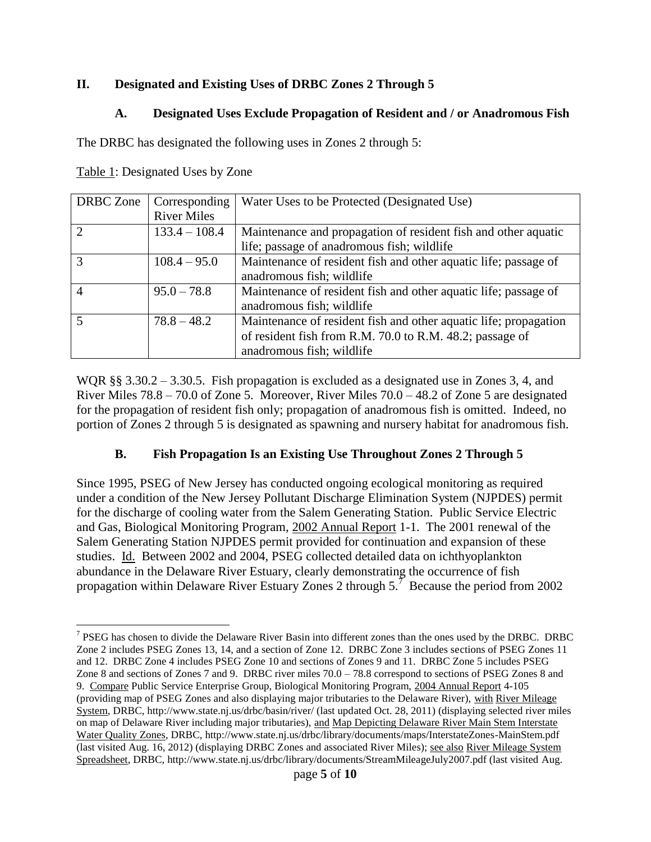### **II. Designated and Existing Uses of DRBC Zones 2 Through 5**

# **A. Designated Uses Exclude Propagation of Resident and / or Anadromous Fish**

The DRBC has designated the following uses in Zones 2 through 5:

 $\overline{a}$ 

| <b>DRBC</b> Zone | Corresponding      | Water Uses to be Protected (Designated Use)                      |
|------------------|--------------------|------------------------------------------------------------------|
|                  | <b>River Miles</b> |                                                                  |
| $\overline{2}$   | $133.4 - 108.4$    | Maintenance and propagation of resident fish and other aquatic   |
|                  |                    | life; passage of anadromous fish; wildlife                       |
| 3                | $108.4 - 95.0$     | Maintenance of resident fish and other aquatic life; passage of  |
|                  |                    | anadromous fish; wildlife                                        |
| $\overline{A}$   | $95.0 - 78.8$      | Maintenance of resident fish and other aquatic life; passage of  |
|                  |                    | anadromous fish; wildlife                                        |
|                  | $78.8 - 48.2$      | Maintenance of resident fish and other aquatic life; propagation |
|                  |                    | of resident fish from R.M. 70.0 to R.M. 48.2; passage of         |
|                  |                    | anadromous fish; wildlife                                        |

WQR §§ 3.30.2 – 3.30.5. Fish propagation is excluded as a designated use in Zones 3, 4, and River Miles  $78.8 - 70.0$  of Zone 5. Moreover, River Miles  $70.0 - 48.2$  of Zone 5 are designated for the propagation of resident fish only; propagation of anadromous fish is omitted. Indeed, no portion of Zones 2 through 5 is designated as spawning and nursery habitat for anadromous fish.

# **B. Fish Propagation Is an Existing Use Throughout Zones 2 Through 5**

Since 1995, PSEG of New Jersey has conducted ongoing ecological monitoring as required under a condition of the New Jersey Pollutant Discharge Elimination System (NJPDES) permit for the discharge of cooling water from the Salem Generating Station. Public Service Electric and Gas, Biological Monitoring Program, 2002 Annual Report 1-1. The 2001 renewal of the Salem Generating Station NJPDES permit provided for continuation and expansion of these studies. Id. Between 2002 and 2004, PSEG collected detailed data on ichthyoplankton abundance in the Delaware River Estuary, clearly demonstrating the occurrence of fish propagation within Delaware River Estuary Zones 2 through  $5.<sup>7</sup>$  Because the period from 2002

 $7$  PSEG has chosen to divide the Delaware River Basin into different zones than the ones used by the DRBC. DRBC Zone 2 includes PSEG Zones 13, 14, and a section of Zone 12. DRBC Zone 3 includes sections of PSEG Zones 11 and 12. DRBC Zone 4 includes PSEG Zone 10 and sections of Zones 9 and 11. DRBC Zone 5 includes PSEG Zone 8 and sections of Zones 7 and 9. DRBC river miles 70.0 – 78.8 correspond to sections of PSEG Zones 8 and 9. Compare Public Service Enterprise Group, Biological Monitoring Program, 2004 Annual Report 4-105 (providing map of PSEG Zones and also displaying major tributaries to the Delaware River), with River Mileage System, DRBC, http://www.state.nj.us/drbc/basin/river/ (last updated Oct. 28, 2011) (displaying selected river miles on map of Delaware River including major tributaries), and Map Depicting Delaware River Main Stem Interstate Water Quality Zones, DRBC, http://www.state.nj.us/drbc/library/documents/maps/InterstateZones-MainStem.pdf (last visited Aug. 16, 2012) (displaying DRBC Zones and associated River Miles); see also River Mileage System Spreadsheet, DRBC, http://www.state.nj.us/drbc/library/documents/StreamMileageJuly2007.pdf (last visited Aug.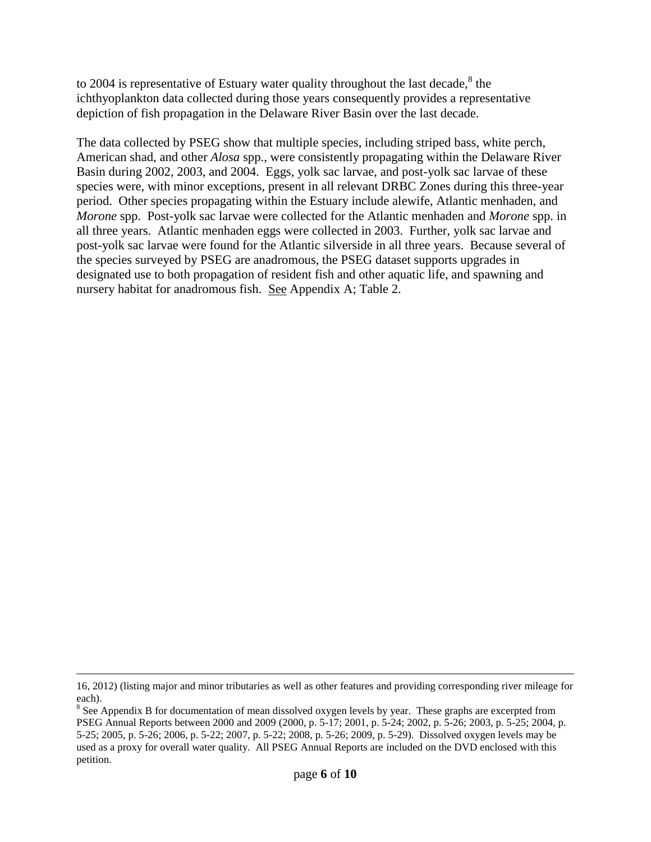to 2004 is representative of Estuary water quality throughout the last decade, $^8$  the ichthyoplankton data collected during those years consequently provides a representative depiction of fish propagation in the Delaware River Basin over the last decade.

The data collected by PSEG show that multiple species, including striped bass, white perch, American shad, and other *Alosa* spp., were consistently propagating within the Delaware River Basin during 2002, 2003, and 2004. Eggs, yolk sac larvae, and post-yolk sac larvae of these species were, with minor exceptions, present in all relevant DRBC Zones during this three-year period. Other species propagating within the Estuary include alewife, Atlantic menhaden, and *Morone* spp. Post-yolk sac larvae were collected for the Atlantic menhaden and *Morone* spp. in all three years. Atlantic menhaden eggs were collected in 2003. Further, yolk sac larvae and post-yolk sac larvae were found for the Atlantic silverside in all three years. Because several of the species surveyed by PSEG are anadromous, the PSEG dataset supports upgrades in designated use to both propagation of resident fish and other aquatic life, and spawning and nursery habitat for anadromous fish. See Appendix A; Table 2.

 $\overline{a}$ 

<sup>16, 2012) (</sup>listing major and minor tributaries as well as other features and providing corresponding river mileage for each).

 $8$  See Appendix B for documentation of mean dissolved oxygen levels by year. These graphs are excerpted from PSEG Annual Reports between 2000 and 2009 (2000, p. 5-17; 2001, p. 5-24; 2002, p. 5-26; 2003, p. 5-25; 2004, p. 5-25; 2005, p. 5-26; 2006, p. 5-22; 2007, p. 5-22; 2008, p. 5-26; 2009, p. 5-29). Dissolved oxygen levels may be used as a proxy for overall water quality. All PSEG Annual Reports are included on the DVD enclosed with this petition.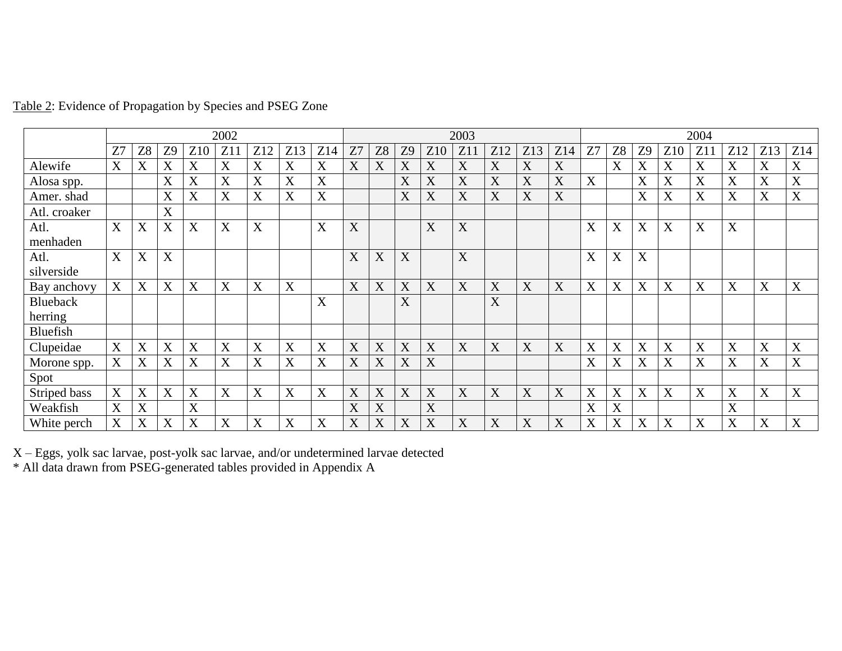|                 | 2002 |    |             |                  |     |             | 2003 |             |                |           |    |                 |     | 2004 |     |     |    |                |                |     |     |     |             |     |
|-----------------|------|----|-------------|------------------|-----|-------------|------|-------------|----------------|-----------|----|-----------------|-----|------|-----|-----|----|----------------|----------------|-----|-----|-----|-------------|-----|
|                 | Z7   | Z8 | Z9          | Z10              | Z11 | Z12         | Z13  | Z14         | Z <sub>7</sub> | <b>Z8</b> | Z9 | Z <sub>10</sub> | Z11 | Z12  | Z13 | Z14 | Z7 | Z <sub>8</sub> | Z <sub>9</sub> | Z10 | Z11 | Z12 | Z13         | Z14 |
| Alewife         | X    | X  | X           | X                | X   | X           | X    | X           | X              | X         | X  | X               | X   | X    | X   | X   |    | X              | X              | X   | X   | X   | X           | X   |
| Alosa spp.      |      |    | X           | X                | X   | X           | X    | X           |                |           | X  | X               | X   | X    | X   | X   | X  |                | X              | X   | X   | X   | X           | X   |
| Amer. shad      |      |    | X           | X                | X   | X           | X    | $\mathbf X$ |                |           | X  | X               | X   | X    | X   | X   |    |                | X              | X   | X   | X   | $\mathbf X$ | X   |
| Atl. croaker    |      |    | X           |                  |     |             |      |             |                |           |    |                 |     |      |     |     |    |                |                |     |     |     |             |     |
| Atl.            | X    | X  | X           | X                | X   | X           |      | X           | X              |           |    | X               | X   |      |     |     | X  | X              | X              | X   | X   | X   |             |     |
| menhaden        |      |    |             |                  |     |             |      |             |                |           |    |                 |     |      |     |     |    |                |                |     |     |     |             |     |
| Atl.            | X    | X  | X           |                  |     |             |      |             | X              | X         | X  |                 | X   |      |     |     | X  | X              | X              |     |     |     |             |     |
| silverside      |      |    |             |                  |     |             |      |             |                |           |    |                 |     |      |     |     |    |                |                |     |     |     |             |     |
| Bay anchovy     | X    | X  | X           | X                | X   | X           | X    |             | X              | X         | X  | X               | X   | X    | X   | X   | X  | X              | X              | X   | X   | X   | X           | X   |
| <b>Blueback</b> |      |    |             |                  |     |             |      | X           |                |           | X  |                 |     | X    |     |     |    |                |                |     |     |     |             |     |
| herring         |      |    |             |                  |     |             |      |             |                |           |    |                 |     |      |     |     |    |                |                |     |     |     |             |     |
| <b>Bluefish</b> |      |    |             |                  |     |             |      |             |                |           |    |                 |     |      |     |     |    |                |                |     |     |     |             |     |
| Clupeidae       | X    | X  | X           | X                | X   | X           | X    | X           | X              | X         | X  | X               | X   | X    | X   | X   | X  | X              | X              | X   | X   | X   | X           | X   |
| Morone spp.     | X    | X  | X           | X                | X   | X           | X    | X           | X              | X         | X  | X               |     |      |     |     | X  | X              | X              | X   | X   | X   | X           | X   |
| Spot            |      |    |             |                  |     |             |      |             |                |           |    |                 |     |      |     |     |    |                |                |     |     |     |             |     |
| Striped bass    | X    | X  | $\mathbf X$ | X                | X   | X           | X    | X           | X              | X         | X  | X               | X   | X    | X   | X   | X  | X              | X              | X   | X   | X   | X           | X   |
| Weakfish        | X    | X  |             | $\boldsymbol{X}$ |     |             |      |             | X              | X         |    | X               |     |      |     |     | X  | X              |                |     |     | X   |             |     |
| White perch     | X    | X  | X           | X                | X   | $\mathbf X$ | X    | $\mathbf X$ | X              | X         | X  | X               | X   | X    | X   | X   | X  | X              | X              | X   | X   | X   | X           | X   |

Table 2: Evidence of Propagation by Species and PSEG Zone

X – Eggs, yolk sac larvae, post-yolk sac larvae, and/or undetermined larvae detected

\* All data drawn from PSEG-generated tables provided in Appendix A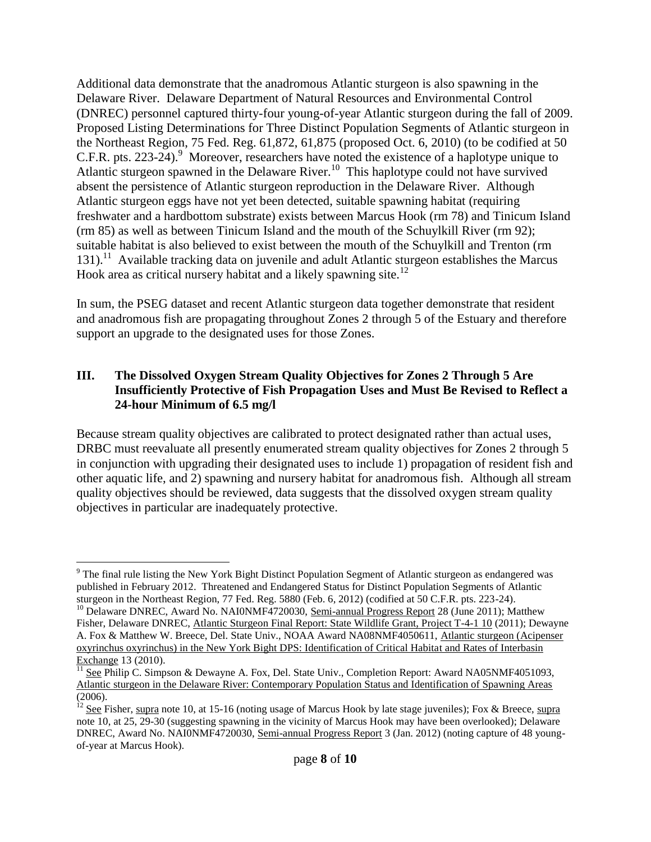<span id="page-7-0"></span>Additional data demonstrate that the anadromous Atlantic sturgeon is also spawning in the Delaware River. Delaware Department of Natural Resources and Environmental Control (DNREC) personnel captured thirty-four young-of-year Atlantic sturgeon during the fall of 2009. Proposed Listing Determinations for Three Distinct Population Segments of Atlantic sturgeon in the Northeast Region, 75 Fed. Reg. 61,872, 61,875 (proposed Oct. 6, 2010) (to be codified at 50 C.F.R. pts. 223-24).<sup>9</sup> Moreover, researchers have noted the existence of a haplotype unique to Atlantic sturgeon spawned in the Delaware River.<sup>10</sup> This haplotype could not have survived absent the persistence of Atlantic sturgeon reproduction in the Delaware River. Although Atlantic sturgeon eggs have not yet been detected, suitable spawning habitat (requiring freshwater and a hardbottom substrate) exists between Marcus Hook (rm 78) and Tinicum Island (rm 85) as well as between Tinicum Island and the mouth of the Schuylkill River (rm 92); suitable habitat is also believed to exist between the mouth of the Schuylkill and Trenton (rm 131).<sup>11</sup> Available tracking data on juvenile and adult Atlantic sturgeon establishes the Marcus Hook area as critical nursery habitat and a likely spawning site.<sup>12</sup>

In sum, the PSEG dataset and recent Atlantic sturgeon data together demonstrate that resident and anadromous fish are propagating throughout Zones 2 through 5 of the Estuary and therefore support an upgrade to the designated uses for those Zones.

### **III. The Dissolved Oxygen Stream Quality Objectives for Zones 2 Through 5 Are Insufficiently Protective of Fish Propagation Uses and Must Be Revised to Reflect a 24-hour Minimum of 6.5 mg/l**

Because stream quality objectives are calibrated to protect designated rather than actual uses, DRBC must reevaluate all presently enumerated stream quality objectives for Zones 2 through 5 in conjunction with upgrading their designated uses to include 1) propagation of resident fish and other aquatic life, and 2) spawning and nursery habitat for anadromous fish. Although all stream quality objectives should be reviewed, data suggests that the dissolved oxygen stream quality objectives in particular are inadequately protective.

 $\overline{a}$ 

<sup>9</sup> The final rule listing the New York Bight Distinct Population Segment of Atlantic sturgeon as endangered was published in February 2012. Threatened and Endangered Status for Distinct Population Segments of Atlantic sturgeon in the Northeast Region, 77 Fed. Reg. 5880 (Feb. 6, 2012) (codified at 50 C.F.R. pts. 223-24).

<sup>&</sup>lt;sup>10</sup> Delaware DNREC, Award No. NAI0NMF4720030, Semi-annual Progress Report 28 (June 2011); Matthew Fisher, Delaware DNREC, Atlantic Sturgeon Final Report: State Wildlife Grant, Project T-4-1 10 (2011); Dewayne A. Fox & Matthew W. Breece, Del. State Univ., NOAA Award NA08NMF4050611, Atlantic sturgeon (Acipenser oxyrinchus oxyrinchus) in the New York Bight DPS: Identification of Critical Habitat and Rates of Interbasin Exchange 13 (2010).

 $\frac{11}{11}$  See Philip C. Simpson & Dewayne A. Fox, Del. State Univ., Completion Report: Award NA05NMF4051093, Atlantic sturgeon in the Delaware River: Contemporary Population Status and Identification of Spawning Areas  $\frac{1}{(2006)}$ .

See Fisher, supra note [10,](#page-7-0) at 15-16 (noting usage of Marcus Hook by late stage juveniles); Fox & Breece, supra not[e 10,](#page-7-0) at 25, 29-30 (suggesting spawning in the vicinity of Marcus Hook may have been overlooked); Delaware DNREC, Award No. NAI0NMF4720030, Semi-annual Progress Report 3 (Jan. 2012) (noting capture of 48 youngof-year at Marcus Hook).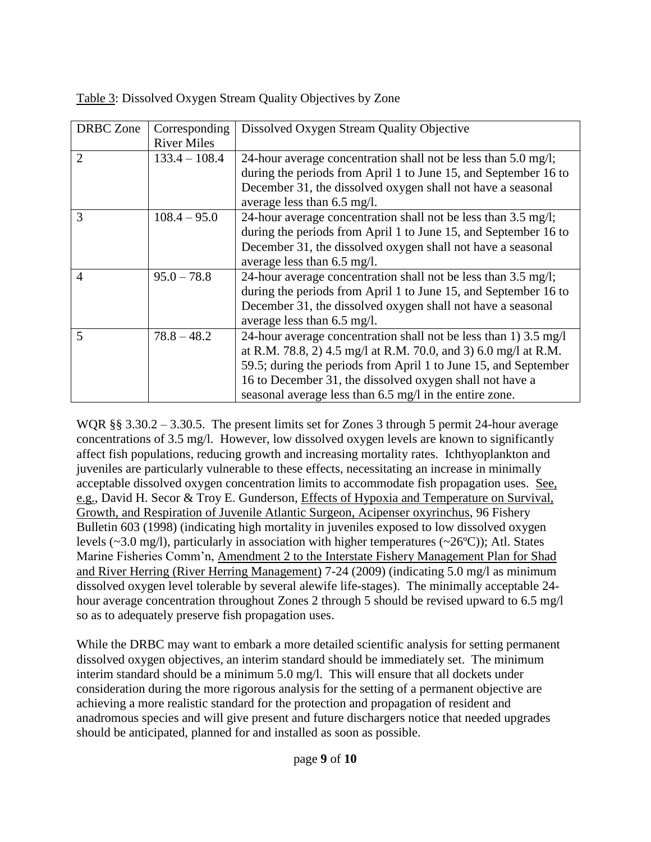| <b>DRBC</b> Zone            | Corresponding      | Dissolved Oxygen Stream Quality Objective                        |
|-----------------------------|--------------------|------------------------------------------------------------------|
|                             | <b>River Miles</b> |                                                                  |
| $\mathcal{D}_{\mathcal{L}}$ | $133.4 - 108.4$    | 24-hour average concentration shall not be less than 5.0 mg/l;   |
|                             |                    | during the periods from April 1 to June 15, and September 16 to  |
|                             |                    | December 31, the dissolved oxygen shall not have a seasonal      |
|                             |                    | average less than $6.5 \text{ mg/l}$ .                           |
| 3                           | $108.4 - 95.0$     | 24-hour average concentration shall not be less than 3.5 mg/l;   |
|                             |                    | during the periods from April 1 to June 15, and September 16 to  |
|                             |                    | December 31, the dissolved oxygen shall not have a seasonal      |
|                             |                    | average less than $6.5 \text{ mg/l}$ .                           |
| $\overline{4}$              | $95.0 - 78.8$      | 24-hour average concentration shall not be less than 3.5 mg/l;   |
|                             |                    | during the periods from April 1 to June 15, and September 16 to  |
|                             |                    | December 31, the dissolved oxygen shall not have a seasonal      |
|                             |                    | average less than $6.5 \text{ mg/l}$ .                           |
| 5                           | $78.8 - 48.2$      | 24-hour average concentration shall not be less than 1) 3.5 mg/l |
|                             |                    | at R.M. 78.8, 2) 4.5 mg/l at R.M. 70.0, and 3) 6.0 mg/l at R.M.  |
|                             |                    | 59.5; during the periods from April 1 to June 15, and September  |
|                             |                    | 16 to December 31, the dissolved oxygen shall not have a         |
|                             |                    | seasonal average less than 6.5 mg/l in the entire zone.          |

Table 3: Dissolved Oxygen Stream Quality Objectives by Zone

WQR §§ 3.30.2 – 3.30.5. The present limits set for Zones 3 through 5 permit 24-hour average concentrations of 3.5 mg/l. However, low dissolved oxygen levels are known to significantly affect fish populations, reducing growth and increasing mortality rates. Ichthyoplankton and juveniles are particularly vulnerable to these effects, necessitating an increase in minimally acceptable dissolved oxygen concentration limits to accommodate fish propagation uses. See, e.g., David H. Secor & Troy E. Gunderson, Effects of Hypoxia and Temperature on Survival, Growth, and Respiration of Juvenile Atlantic Surgeon, Acipenser oxyrinchus, 96 Fishery Bulletin 603 (1998) (indicating high mortality in juveniles exposed to low dissolved oxygen levels ( $\sim$ 3.0 mg/l), particularly in association with higher temperatures ( $\sim$ 26°C)); Atl. States Marine Fisheries Comm'n, Amendment 2 to the Interstate Fishery Management Plan for Shad and River Herring (River Herring Management) 7-24 (2009) (indicating 5.0 mg/l as minimum dissolved oxygen level tolerable by several alewife life-stages). The minimally acceptable 24 hour average concentration throughout Zones 2 through 5 should be revised upward to 6.5 mg/l so as to adequately preserve fish propagation uses.

While the DRBC may want to embark a more detailed scientific analysis for setting permanent dissolved oxygen objectives, an interim standard should be immediately set. The minimum interim standard should be a minimum 5.0 mg/l. This will ensure that all dockets under consideration during the more rigorous analysis for the setting of a permanent objective are achieving a more realistic standard for the protection and propagation of resident and anadromous species and will give present and future dischargers notice that needed upgrades should be anticipated, planned for and installed as soon as possible.